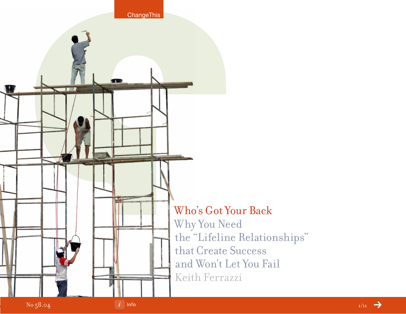

the "Lifeline Relationships"

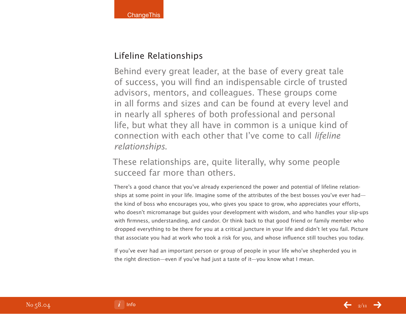## Lifeline Relationships

Behind every great leader, at the base of every great tale of success, you will find an indispensable circle of trusted advisors, mentors, and colleagues. These groups come in all forms and sizes and can be found at every level and in nearly all spheres of both professional and personal life, but what they all have in common is a unique kind of connection with each other that I've come to call lifeline relationships.

## These relationships are, quite literally, why some people succeed far more than others.

There's a good chance that you've already experienced the power and potential of lifeline relationships at some point in your life. Imagine some of the attributes of the best bosses you've ever had the kind of boss who encourages you, who gives you space to grow, who appreciates your efforts, who doesn't micromanage but guides your development with wisdom, and who handles your slip-ups with firmness, understanding, and candor. Or think back to that good friend or family member who dropped everything to be there for you at a critical juncture in your life and didn't let you fail. Picture that associate you had at work who took a risk for you, and whose influence still touches you today.

If you've ever had an important person or group of people in your life who've shepherded you in the right direction—even if you've had just a taste of it—you know what I mean.

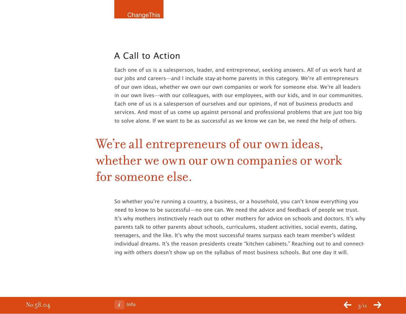## A Call to Action

Each one of us is a salesperson, leader, and entrepreneur, seeking answers. All of us work hard at our jobs and careers—and I include stay-at-home parents in this category. We're all entrepreneurs of our own ideas, whether we own our own companies or work for someone else. We're all leaders in our own lives—with our colleagues, with our employees, with our kids, and in our communities. Each one of us is a salesperson of ourselves and our opinions, if not of business products and services. And most of us come up against personal and professional problems that are just too big to solve alone. If we want to be as successful as we know we can be, we need the help of others.

# We're all entrepreneurs of our own ideas, whether we own our own companies or work for someone else.

So whether you're running a country, a business, or a household, you can't know everything you need to know to be successful—no one can. We need the advice and feedback of people we trust. It's why mothers instinctively reach out to other mothers for advice on schools and doctors. It's why parents talk to other parents about schools, curriculums, student activities, social events, dating, teenagers, and the like. It's why the most successful teams surpass each team member's wildest individual dreams. It's the reason presidents create "kitchen cabinets." Reaching out to and connecting with others doesn't show up on the syllabus of most business schools. But one day it will.



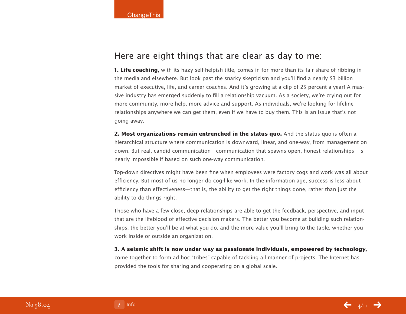### Here are eight things that are clear as day to me:

**1. Life coaching,** with its hazy self-helpish title, comes in for more than its fair share of ribbing in the media and elsewhere. But look past the snarky skepticism and you'll find a nearly \$3 billion market of executive, life, and career coaches. And it's growing at a clip of 25 percent a year! A massive industry has emerged suddenly to fill a relationship vacuum. As a society, we're crying out for more community, more help, more advice and support. As individuals, we're looking for lifeline relationships anywhere we can get them, even if we have to buy them. This is an issue that's not going away.

**2. Most organizations remain entrenched in the status quo.** And the status quo is often a hierarchical structure where communication is downward, linear, and one-way, from management on down. But real, candid communication—communication that spawns open, honest relationships—is nearly impossible if based on such one-way communication.

Top-down directives might have been fine when employees were factory cogs and work was all about efficiency. But most of us no longer do cog-like work. In the information age, success is less about efficiency than effectiveness—that is, the ability to get the right things done, rather than just the ability to do things right.

Those who have a few close, deep relationships are able to get the feedback, perspective, and input that are the lifeblood of effective decision makers. The better you become at building such relationships, the better you'll be at what you do, and the more value you'll bring to the table, whether you work inside or outside an organization.

**3. A seismic shift is now under way as passionate individuals, empowered by technology,** come together to form ad hoc "tribes" capable of tackling all manner of projects. The Internet has provided the tools for sharing and cooperating on a global scale.

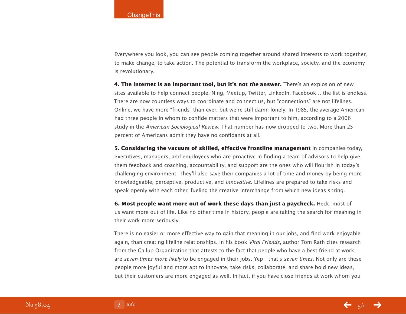Everywhere you look, you can see people coming together around shared interests to work together, to make change, to take action. The potential to transform the workplace, society, and the economy is revolutionary.

**4. The Internet is an important tool, but it's not the answer.** There's an explosion of new sites available to help connect people. Ning, Meetup, Twitter, LinkedIn, Facebook… the list is endless. There are now countless ways to coordinate and connect us, but "connections" are not lifelines. Online, we have more "friends" than ever, but we're still damn lonely. In 1985, the average American had three people in whom to confide matters that were important to him, according to a 2006 study in the American Sociological Review. That number has now dropped to two. More than 25 percent of Americans admit they have no confidants at all.

**5. Considering the vacuum of skilled, effective frontline management** in companies today, executives, managers, and employees who are proactive in finding a team of advisors to help give them feedback and coaching, accountability, and support are the ones who will flourish in today's challenging environment. They'll also save their companies a lot of time and money by being more knowledgeable, perceptive, productive, and innovative. Lifelines are prepared to take risks and speak openly with each other, fueling the creative interchange from which new ideas spring.

**6. Most people want more out of work these days than just a paycheck.** Heck, most of us want more out of life. Like no other time in history, people are taking the search for meaning in their work more seriously.

There is no easier or more effective way to gain that meaning in our jobs, and find work enjoyable again, than creating lifeline relationships. In his book Vital Friends, author Tom Rath cites research from the Gallup Organization that attests to the fact that people who have a best friend at work are seven times more likely to be engaged in their jobs. Yep—that's seven times. Not only are these people more joyful and more apt to innovate, take risks, collaborate, and share bold new ideas, but their customers are more engaged as well. In fact, if you have close friends at work whom you

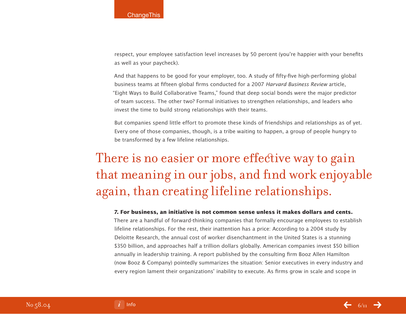respect, your employee satisfaction level increases by 50 percent (you're happier with your benefits as well as your paycheck).

And that happens to be good for your employer, too. A study of fifty-five high-performing global business teams at fifteen global firms conducted for a 2007 Harvard Business Review article, "Eight Ways to Build Collaborative Teams," found that deep social bonds were the major predictor of team success. The other two? Formal initiatives to strengthen relationships, and leaders who invest the time to build strong relationships with their teams.

But companies spend little effort to promote these kinds of friendships and relationships as of yet. Every one of those companies, though, is a tribe waiting to happen, a group of people hungry to be transformed by a few lifeline relationships.

# There is no easier or more effective way to gain that meaning in our jobs, and find work enjoyable again, than creating lifeline relationships.

**7. For business, an initiative is not common sense unless it makes dollars and cents.** 

There are a handful of forward-thinking companies that formally encourage employees to establish lifeline relationships. For the rest, their inattention has a price: According to a 2004 study by Deloitte Research, the annual cost of worker disenchantment in the United States is a stunning \$350 billion, and approaches half a trillion dollars globally. American companies invest \$50 billion annually in leadership training. A report published by the consulting firm Booz Allen Hamilton (now Booz & Company) pointedly summarizes the situation: Senior executives in every industry and every region lament their organizations' inability to execute. As firms grow in scale and scope in

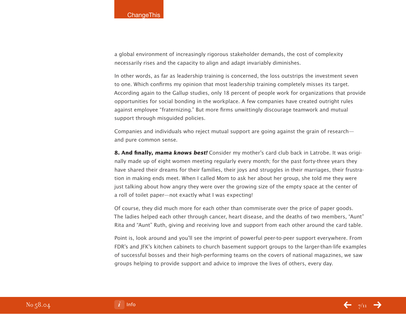a global environment of increasingly rigorous stakeholder demands, the cost of complexity necessarily rises and the capacity to align and adapt invariably diminishes.

In other words, as far as leadership training is concerned, the loss outstrips the investment seven to one. Which confirms my opinion that most leadership training completely misses its target. According again to the Gallup studies, only 18 percent of people work for organizations that provide opportunities for social bonding in the workplace. A few companies have created outright rules against employee "fraternizing." But more firms unwittingly discourage teamwork and mutual support through misguided policies.

Companies and individuals who reject mutual support are going against the grain of research and pure common sense.

**8. And finally, mama knows best!** Consider my mother's card club back in Latrobe. It was originally made up of eight women meeting regularly every month; for the past forty-three years they have shared their dreams for their families, their joys and struggles in their marriages, their frustration in making ends meet. When I called Mom to ask her about her group, she told me they were just talking about how angry they were over the growing size of the empty space at the center of a roll of toilet paper—not exactly what I was expecting!

Of course, they did much more for each other than commiserate over the price of paper goods. The ladies helped each other through cancer, heart disease, and the deaths of two members, "Aunt" Rita and "Aunt" Ruth, giving and receiving love and support from each other around the card table.

Point is, look around and you'll see the imprint of powerful peer-to-peer support everywhere. From FDR's and JFK's kitchen cabinets to church basement support groups to the larger-than-life examples of successful bosses and their high-performing teams on the covers of national magazines, we saw groups helping to provide support and advice to improve the lives of others, every day.

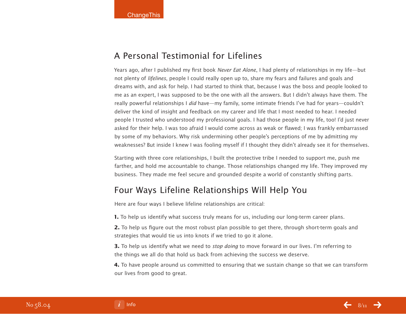## A Personal Testimonial for Lifelines

Years ago, after I published my first book Never Eat Alone, I had plenty of relationships in my life—but not plenty of lifelines, people I could really open up to, share my fears and failures and goals and dreams with, and ask for help. I had started to think that, because I was the boss and people looked to me as an expert, I was supposed to be the one with all the answers. But I didn't always have them. The really powerful relationships I did have—my family, some intimate friends I've had for years—couldn't deliver the kind of insight and feedback on my career and life that I most needed to hear. I needed people I trusted who understood my professional goals. I had those people in my life, too! I'd just never asked for their help. I was too afraid I would come across as weak or flawed; I was frankly embarrassed by some of my behaviors. Why risk undermining other people's perceptions of me by admitting my weaknesses? But inside I knew I was fooling myself if I thought they didn't already see it for themselves.

Starting with three core relationships, I built the protective tribe I needed to support me, push me farther, and hold me accountable to change. Those relationships changed my life. They improved my business. They made me feel secure and grounded despite a world of constantly shifting parts.

## Four Ways Lifeline Relationships Will Help You

Here are four ways I believe lifeline relationships are critical:

**1.** To help us identify what success truly means for us, including our long-term career plans.

**2.** To help us figure out the most robust plan possible to get there, through short-term goals and strategies that would tie us into knots if we tried to go it alone.

**3.** To help us identify what we need to *stop doing* to move forward in our lives. I'm referring to the things we all do that hold us back from achieving the success we deserve.

**4.** To have people around us committed to ensuring that we sustain change so that we can transform our lives from good to great.

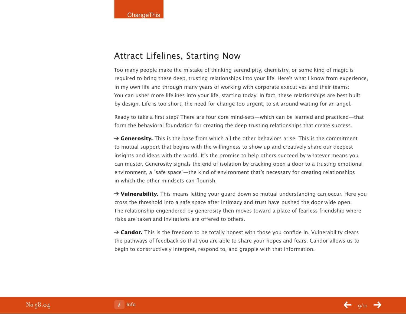## Attract Lifelines, Starting Now

Too many people make the mistake of thinking serendipity, chemistry, or some kind of magic is required to bring these deep, trusting relationships into your life. Here's what I know from experience, in my own life and through many years of working with corporate executives and their teams: You can usher more lifelines into your life, starting today. In fact, these relationships are best built by design. Life is too short, the need for change too urgent, to sit around waiting for an angel.

Ready to take a first step? There are four core mind-sets—which can be learned and practiced—that form the behavioral foundation for creating the deep trusting relationships that create success.

→ **Generosity.** This is the base from which all the other behaviors arise. This is the commitment to mutual support that begins with the willingness to show up and creatively share our deepest insights and ideas with the world. It's the promise to help others succeed by whatever means you can muster. Generosity signals the end of isolation by cracking open a door to a trusting emotional environment, a "safe space"—the kind of environment that's necessary for creating relationships in which the other mindsets can flourish.

→ **Vulnerability.** This means letting your guard down so mutual understanding can occur. Here you cross the threshold into a safe space after intimacy and trust have pushed the door wide open. The relationship engendered by generosity then moves toward a place of fearless friendship where risks are taken and invitations are offered to others.

→ **Candor.** This is the freedom to be totally honest with those you confide in. Vulnerability clears the pathways of feedback so that you are able to share your hopes and fears. Candor allows us to begin to constructively interpret, respond to, and grapple with that information.

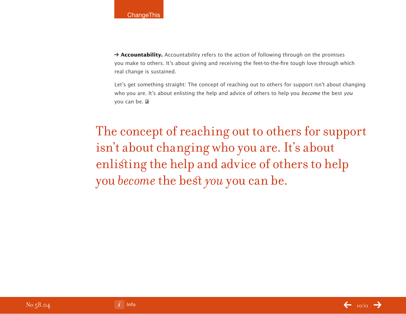→ **Accountability.** Accountability refers to the action of following through on the promises you make to others. It's about giving and receiving the feet-to-the-fire tough love through which real change is sustained.

Let's get something straight: The concept of reaching out to others for support isn't about changing who you are. It's about enlisting the help and advice of others to help you *become* the best you you can be. **a** 

The concept of reaching out to others for support isn't about changing who you are. It's about enlisting the help and advice of others to help you *become* the best *you* you can be.